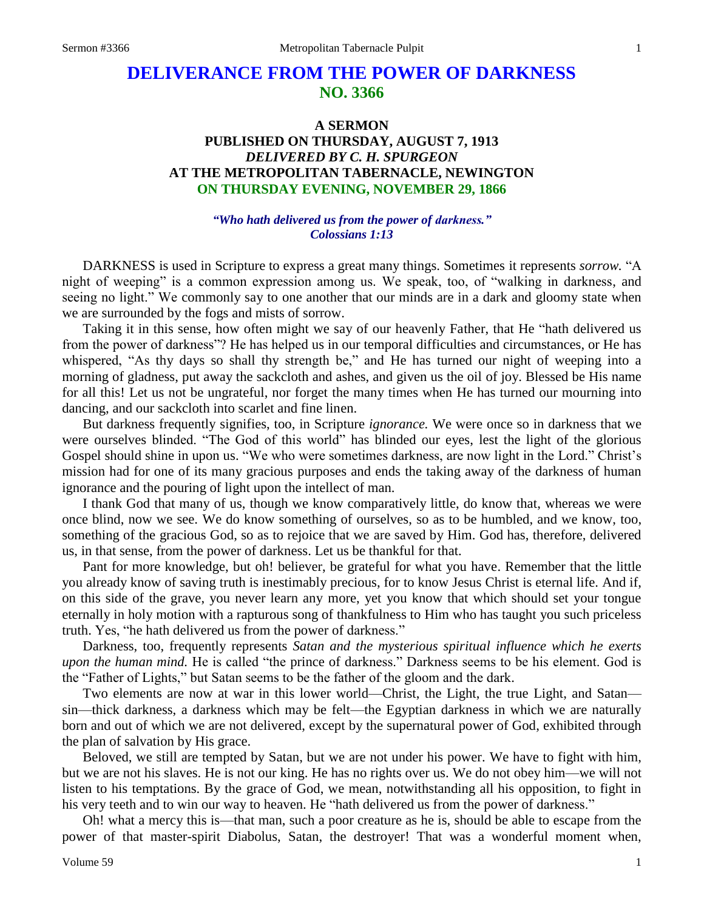## **DELIVERANCE FROM THE POWER OF DARKNESS NO. 3366**

## **A SERMON PUBLISHED ON THURSDAY, AUGUST 7, 1913** *DELIVERED BY C. H. SPURGEON* **AT THE METROPOLITAN TABERNACLE, NEWINGTON ON THURSDAY EVENING, NOVEMBER 29, 1866**

## *"Who hath delivered us from the power of darkness." Colossians 1:13*

DARKNESS is used in Scripture to express a great many things. Sometimes it represents *sorrow.* "A night of weeping" is a common expression among us. We speak, too, of "walking in darkness, and seeing no light." We commonly say to one another that our minds are in a dark and gloomy state when we are surrounded by the fogs and mists of sorrow.

Taking it in this sense, how often might we say of our heavenly Father, that He "hath delivered us from the power of darkness"? He has helped us in our temporal difficulties and circumstances, or He has whispered, "As thy days so shall thy strength be," and He has turned our night of weeping into a morning of gladness, put away the sackcloth and ashes, and given us the oil of joy. Blessed be His name for all this! Let us not be ungrateful, nor forget the many times when He has turned our mourning into dancing, and our sackcloth into scarlet and fine linen.

But darkness frequently signifies, too, in Scripture *ignorance.* We were once so in darkness that we were ourselves blinded. "The God of this world" has blinded our eyes, lest the light of the glorious Gospel should shine in upon us. "We who were sometimes darkness, are now light in the Lord." Christ's mission had for one of its many gracious purposes and ends the taking away of the darkness of human ignorance and the pouring of light upon the intellect of man.

I thank God that many of us, though we know comparatively little, do know that, whereas we were once blind, now we see. We do know something of ourselves, so as to be humbled, and we know, too, something of the gracious God, so as to rejoice that we are saved by Him. God has, therefore, delivered us, in that sense, from the power of darkness. Let us be thankful for that.

Pant for more knowledge, but oh! believer, be grateful for what you have. Remember that the little you already know of saving truth is inestimably precious, for to know Jesus Christ is eternal life. And if, on this side of the grave, you never learn any more, yet you know that which should set your tongue eternally in holy motion with a rapturous song of thankfulness to Him who has taught you such priceless truth. Yes, "he hath delivered us from the power of darkness."

Darkness, too, frequently represents *Satan and the mysterious spiritual influence which he exerts upon the human mind.* He is called "the prince of darkness." Darkness seems to be his element. God is the "Father of Lights," but Satan seems to be the father of the gloom and the dark.

Two elements are now at war in this lower world—Christ, the Light, the true Light, and Satan sin—thick darkness, a darkness which may be felt—the Egyptian darkness in which we are naturally born and out of which we are not delivered, except by the supernatural power of God, exhibited through the plan of salvation by His grace.

Beloved, we still are tempted by Satan, but we are not under his power. We have to fight with him, but we are not his slaves. He is not our king. He has no rights over us. We do not obey him—we will not listen to his temptations. By the grace of God, we mean, notwithstanding all his opposition, to fight in his very teeth and to win our way to heaven. He "hath delivered us from the power of darkness."

Oh! what a mercy this is—that man, such a poor creature as he is, should be able to escape from the power of that master-spirit Diabolus, Satan, the destroyer! That was a wonderful moment when,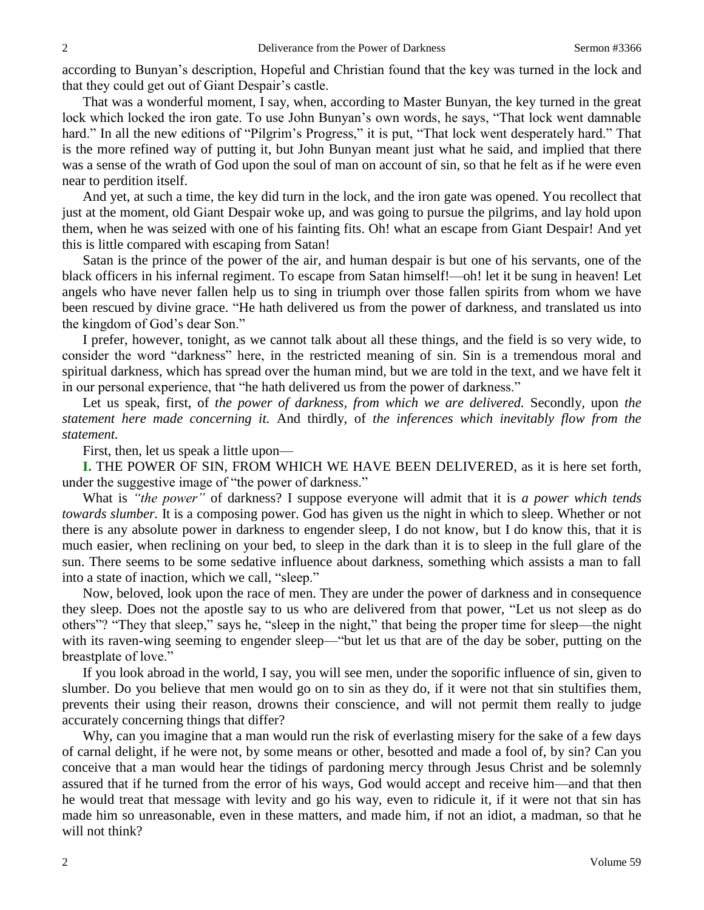according to Bunyan's description, Hopeful and Christian found that the key was turned in the lock and that they could get out of Giant Despair's castle.

That was a wonderful moment, I say, when, according to Master Bunyan, the key turned in the great lock which locked the iron gate. To use John Bunyan's own words, he says, "That lock went damnable hard." In all the new editions of "Pilgrim's Progress," it is put, "That lock went desperately hard." That is the more refined way of putting it, but John Bunyan meant just what he said, and implied that there was a sense of the wrath of God upon the soul of man on account of sin, so that he felt as if he were even near to perdition itself.

And yet, at such a time, the key did turn in the lock, and the iron gate was opened. You recollect that just at the moment, old Giant Despair woke up, and was going to pursue the pilgrims, and lay hold upon them, when he was seized with one of his fainting fits. Oh! what an escape from Giant Despair! And yet this is little compared with escaping from Satan!

Satan is the prince of the power of the air, and human despair is but one of his servants, one of the black officers in his infernal regiment. To escape from Satan himself!—oh! let it be sung in heaven! Let angels who have never fallen help us to sing in triumph over those fallen spirits from whom we have been rescued by divine grace. "He hath delivered us from the power of darkness, and translated us into the kingdom of God's dear Son."

I prefer, however, tonight, as we cannot talk about all these things, and the field is so very wide, to consider the word "darkness" here, in the restricted meaning of sin. Sin is a tremendous moral and spiritual darkness, which has spread over the human mind, but we are told in the text, and we have felt it in our personal experience, that "he hath delivered us from the power of darkness."

Let us speak, first, of *the power of darkness, from which we are delivered.* Secondly, upon *the statement here made concerning it.* And thirdly, of *the inferences which inevitably flow from the statement.*

First, then, let us speak a little upon—

**I.** THE POWER OF SIN, FROM WHICH WE HAVE BEEN DELIVERED, as it is here set forth, under the suggestive image of "the power of darkness."

What is *"the power"* of darkness? I suppose everyone will admit that it is *a power which tends towards slumber.* It is a composing power. God has given us the night in which to sleep. Whether or not there is any absolute power in darkness to engender sleep, I do not know, but I do know this, that it is much easier, when reclining on your bed, to sleep in the dark than it is to sleep in the full glare of the sun. There seems to be some sedative influence about darkness, something which assists a man to fall into a state of inaction, which we call, "sleep."

Now, beloved, look upon the race of men. They are under the power of darkness and in consequence they sleep. Does not the apostle say to us who are delivered from that power, "Let us not sleep as do others"? "They that sleep," says he, "sleep in the night," that being the proper time for sleep—the night with its raven-wing seeming to engender sleep—"but let us that are of the day be sober, putting on the breastplate of love."

If you look abroad in the world, I say, you will see men, under the soporific influence of sin, given to slumber. Do you believe that men would go on to sin as they do, if it were not that sin stultifies them, prevents their using their reason, drowns their conscience, and will not permit them really to judge accurately concerning things that differ?

Why, can you imagine that a man would run the risk of everlasting misery for the sake of a few days of carnal delight, if he were not, by some means or other, besotted and made a fool of, by sin? Can you conceive that a man would hear the tidings of pardoning mercy through Jesus Christ and be solemnly assured that if he turned from the error of his ways, God would accept and receive him—and that then he would treat that message with levity and go his way, even to ridicule it, if it were not that sin has made him so unreasonable, even in these matters, and made him, if not an idiot, a madman, so that he will not think?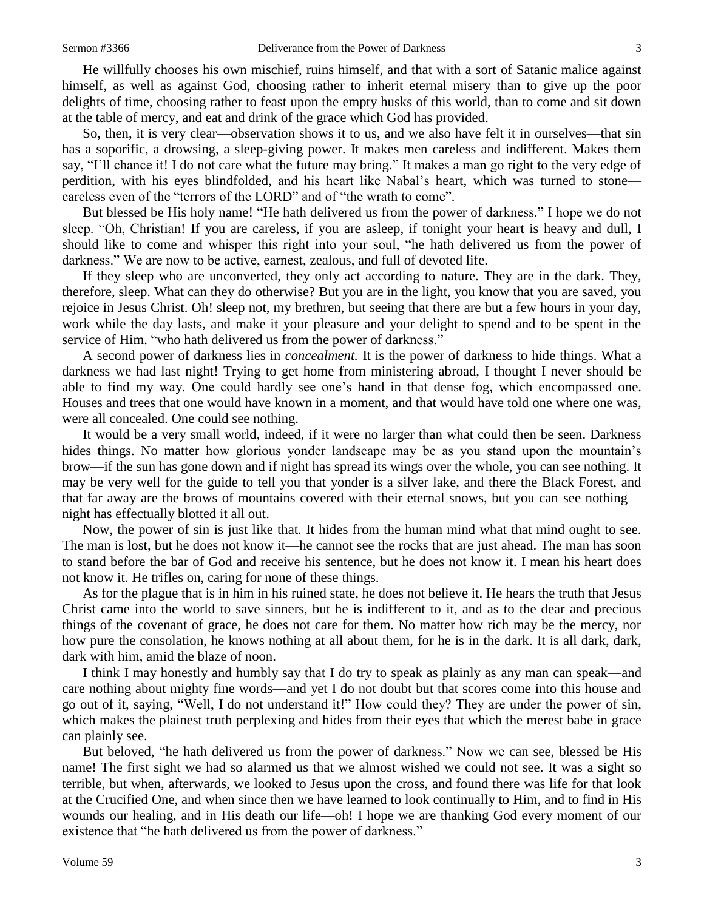He willfully chooses his own mischief, ruins himself, and that with a sort of Satanic malice against himself, as well as against God, choosing rather to inherit eternal misery than to give up the poor delights of time, choosing rather to feast upon the empty husks of this world, than to come and sit down at the table of mercy, and eat and drink of the grace which God has provided.

So, then, it is very clear—observation shows it to us, and we also have felt it in ourselves—that sin has a soporific, a drowsing, a sleep-giving power. It makes men careless and indifferent. Makes them say, "I'll chance it! I do not care what the future may bring." It makes a man go right to the very edge of perdition, with his eyes blindfolded, and his heart like Nabal's heart, which was turned to stone careless even of the "terrors of the LORD" and of "the wrath to come".

But blessed be His holy name! "He hath delivered us from the power of darkness." I hope we do not sleep. "Oh, Christian! If you are careless, if you are asleep, if tonight your heart is heavy and dull, I should like to come and whisper this right into your soul, "he hath delivered us from the power of darkness." We are now to be active, earnest, zealous, and full of devoted life.

If they sleep who are unconverted, they only act according to nature. They are in the dark. They, therefore, sleep. What can they do otherwise? But you are in the light, you know that you are saved, you rejoice in Jesus Christ. Oh! sleep not, my brethren, but seeing that there are but a few hours in your day, work while the day lasts, and make it your pleasure and your delight to spend and to be spent in the service of Him. "who hath delivered us from the power of darkness."

A second power of darkness lies in *concealment.* It is the power of darkness to hide things. What a darkness we had last night! Trying to get home from ministering abroad, I thought I never should be able to find my way. One could hardly see one's hand in that dense fog, which encompassed one. Houses and trees that one would have known in a moment, and that would have told one where one was, were all concealed. One could see nothing.

It would be a very small world, indeed, if it were no larger than what could then be seen. Darkness hides things. No matter how glorious yonder landscape may be as you stand upon the mountain's brow—if the sun has gone down and if night has spread its wings over the whole, you can see nothing. It may be very well for the guide to tell you that yonder is a silver lake, and there the Black Forest, and that far away are the brows of mountains covered with their eternal snows, but you can see nothing night has effectually blotted it all out.

Now, the power of sin is just like that. It hides from the human mind what that mind ought to see. The man is lost, but he does not know it—he cannot see the rocks that are just ahead. The man has soon to stand before the bar of God and receive his sentence, but he does not know it. I mean his heart does not know it. He trifles on, caring for none of these things.

As for the plague that is in him in his ruined state, he does not believe it. He hears the truth that Jesus Christ came into the world to save sinners, but he is indifferent to it, and as to the dear and precious things of the covenant of grace, he does not care for them. No matter how rich may be the mercy, nor how pure the consolation, he knows nothing at all about them, for he is in the dark. It is all dark, dark, dark with him, amid the blaze of noon.

I think I may honestly and humbly say that I do try to speak as plainly as any man can speak—and care nothing about mighty fine words—and yet I do not doubt but that scores come into this house and go out of it, saying, "Well, I do not understand it!" How could they? They are under the power of sin, which makes the plainest truth perplexing and hides from their eyes that which the merest babe in grace can plainly see.

But beloved, "he hath delivered us from the power of darkness." Now we can see, blessed be His name! The first sight we had so alarmed us that we almost wished we could not see. It was a sight so terrible, but when, afterwards, we looked to Jesus upon the cross, and found there was life for that look at the Crucified One, and when since then we have learned to look continually to Him, and to find in His wounds our healing, and in His death our life—oh! I hope we are thanking God every moment of our existence that "he hath delivered us from the power of darkness."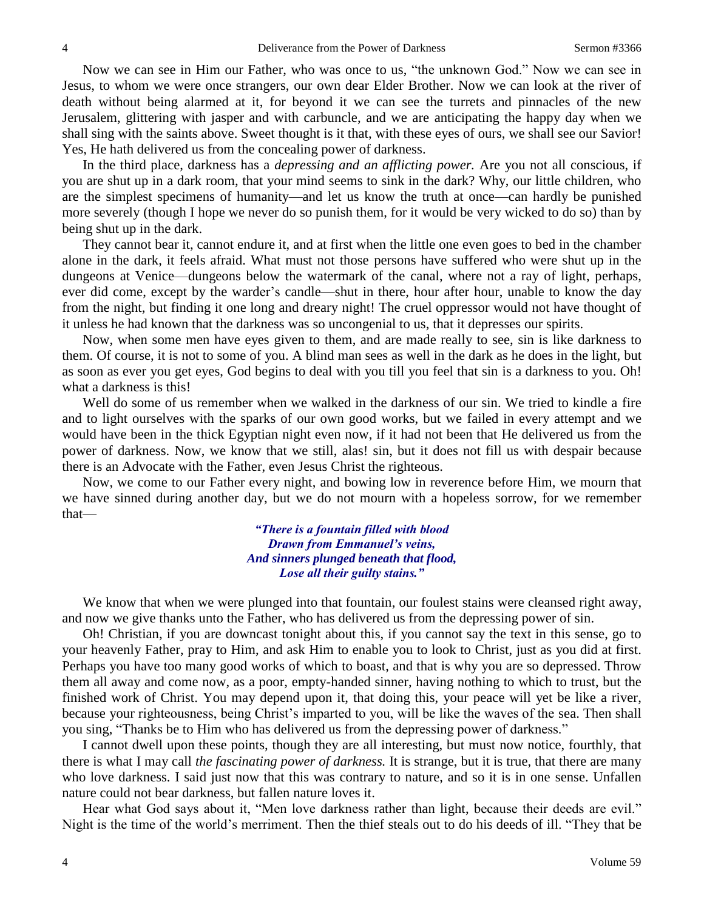Now we can see in Him our Father, who was once to us, "the unknown God." Now we can see in Jesus, to whom we were once strangers, our own dear Elder Brother. Now we can look at the river of death without being alarmed at it, for beyond it we can see the turrets and pinnacles of the new Jerusalem, glittering with jasper and with carbuncle, and we are anticipating the happy day when we shall sing with the saints above. Sweet thought is it that, with these eyes of ours, we shall see our Savior! Yes, He hath delivered us from the concealing power of darkness.

In the third place, darkness has a *depressing and an afflicting power.* Are you not all conscious, if you are shut up in a dark room, that your mind seems to sink in the dark? Why, our little children, who are the simplest specimens of humanity—and let us know the truth at once—can hardly be punished more severely (though I hope we never do so punish them, for it would be very wicked to do so) than by being shut up in the dark.

They cannot bear it, cannot endure it, and at first when the little one even goes to bed in the chamber alone in the dark, it feels afraid. What must not those persons have suffered who were shut up in the dungeons at Venice—dungeons below the watermark of the canal, where not a ray of light, perhaps, ever did come, except by the warder's candle—shut in there, hour after hour, unable to know the day from the night, but finding it one long and dreary night! The cruel oppressor would not have thought of it unless he had known that the darkness was so uncongenial to us, that it depresses our spirits.

Now, when some men have eyes given to them, and are made really to see, sin is like darkness to them. Of course, it is not to some of you. A blind man sees as well in the dark as he does in the light, but as soon as ever you get eyes, God begins to deal with you till you feel that sin is a darkness to you. Oh! what a darkness is this!

Well do some of us remember when we walked in the darkness of our sin. We tried to kindle a fire and to light ourselves with the sparks of our own good works, but we failed in every attempt and we would have been in the thick Egyptian night even now, if it had not been that He delivered us from the power of darkness. Now, we know that we still, alas! sin, but it does not fill us with despair because there is an Advocate with the Father, even Jesus Christ the righteous.

Now, we come to our Father every night, and bowing low in reverence before Him, we mourn that we have sinned during another day, but we do not mourn with a hopeless sorrow, for we remember that—

> *"There is a fountain filled with blood Drawn from Emmanuel's veins, And sinners plunged beneath that flood, Lose all their guilty stains."*

We know that when we were plunged into that fountain, our foulest stains were cleansed right away, and now we give thanks unto the Father, who has delivered us from the depressing power of sin.

Oh! Christian, if you are downcast tonight about this, if you cannot say the text in this sense, go to your heavenly Father, pray to Him, and ask Him to enable you to look to Christ, just as you did at first. Perhaps you have too many good works of which to boast, and that is why you are so depressed. Throw them all away and come now, as a poor, empty-handed sinner, having nothing to which to trust, but the finished work of Christ. You may depend upon it, that doing this, your peace will yet be like a river, because your righteousness, being Christ's imparted to you, will be like the waves of the sea. Then shall you sing, "Thanks be to Him who has delivered us from the depressing power of darkness."

I cannot dwell upon these points, though they are all interesting, but must now notice, fourthly, that there is what I may call *the fascinating power of darkness.* It is strange, but it is true, that there are many who love darkness. I said just now that this was contrary to nature, and so it is in one sense. Unfallen nature could not bear darkness, but fallen nature loves it.

Hear what God says about it, "Men love darkness rather than light, because their deeds are evil." Night is the time of the world's merriment. Then the thief steals out to do his deeds of ill. "They that be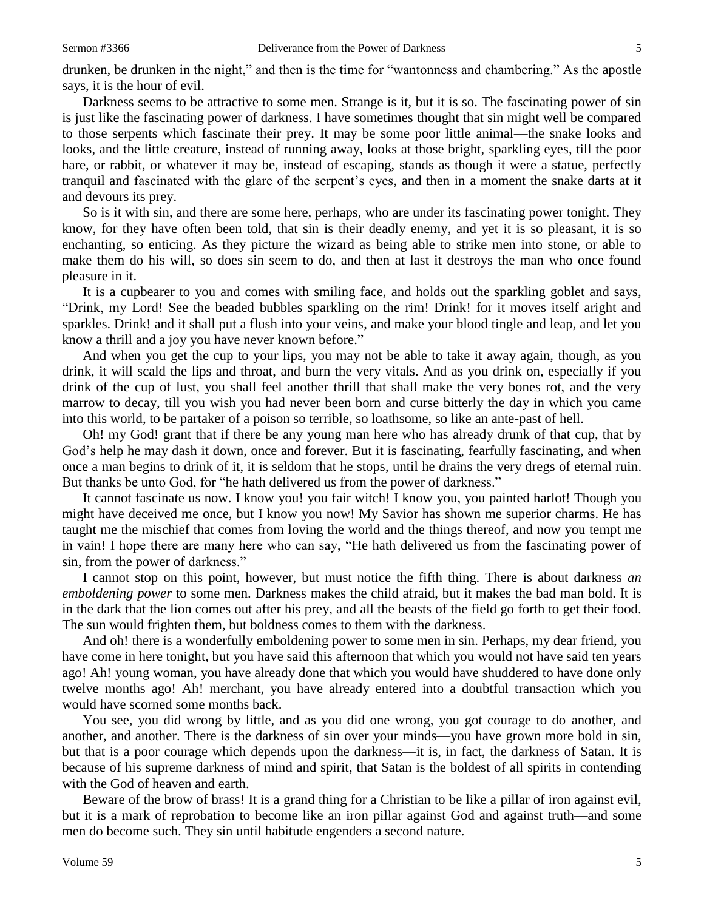drunken, be drunken in the night," and then is the time for "wantonness and chambering." As the apostle says, it is the hour of evil.

Darkness seems to be attractive to some men. Strange is it, but it is so. The fascinating power of sin is just like the fascinating power of darkness. I have sometimes thought that sin might well be compared to those serpents which fascinate their prey. It may be some poor little animal—the snake looks and looks, and the little creature, instead of running away, looks at those bright, sparkling eyes, till the poor hare, or rabbit, or whatever it may be, instead of escaping, stands as though it were a statue, perfectly tranquil and fascinated with the glare of the serpent's eyes, and then in a moment the snake darts at it and devours its prey.

So is it with sin, and there are some here, perhaps, who are under its fascinating power tonight. They know, for they have often been told, that sin is their deadly enemy, and yet it is so pleasant, it is so enchanting, so enticing. As they picture the wizard as being able to strike men into stone, or able to make them do his will, so does sin seem to do, and then at last it destroys the man who once found pleasure in it.

It is a cupbearer to you and comes with smiling face, and holds out the sparkling goblet and says, "Drink, my Lord! See the beaded bubbles sparkling on the rim! Drink! for it moves itself aright and sparkles. Drink! and it shall put a flush into your veins, and make your blood tingle and leap, and let you know a thrill and a joy you have never known before."

And when you get the cup to your lips, you may not be able to take it away again, though, as you drink, it will scald the lips and throat, and burn the very vitals. And as you drink on, especially if you drink of the cup of lust, you shall feel another thrill that shall make the very bones rot, and the very marrow to decay, till you wish you had never been born and curse bitterly the day in which you came into this world, to be partaker of a poison so terrible, so loathsome, so like an ante-past of hell.

Oh! my God! grant that if there be any young man here who has already drunk of that cup, that by God's help he may dash it down, once and forever. But it is fascinating, fearfully fascinating, and when once a man begins to drink of it, it is seldom that he stops, until he drains the very dregs of eternal ruin. But thanks be unto God, for "he hath delivered us from the power of darkness."

It cannot fascinate us now. I know you! you fair witch! I know you, you painted harlot! Though you might have deceived me once, but I know you now! My Savior has shown me superior charms. He has taught me the mischief that comes from loving the world and the things thereof, and now you tempt me in vain! I hope there are many here who can say, "He hath delivered us from the fascinating power of sin, from the power of darkness."

I cannot stop on this point, however, but must notice the fifth thing. There is about darkness *an emboldening power* to some men. Darkness makes the child afraid, but it makes the bad man bold. It is in the dark that the lion comes out after his prey, and all the beasts of the field go forth to get their food. The sun would frighten them, but boldness comes to them with the darkness.

And oh! there is a wonderfully emboldening power to some men in sin. Perhaps, my dear friend, you have come in here tonight, but you have said this afternoon that which you would not have said ten years ago! Ah! young woman, you have already done that which you would have shuddered to have done only twelve months ago! Ah! merchant, you have already entered into a doubtful transaction which you would have scorned some months back.

You see, you did wrong by little, and as you did one wrong, you got courage to do another, and another, and another. There is the darkness of sin over your minds—you have grown more bold in sin, but that is a poor courage which depends upon the darkness—it is, in fact, the darkness of Satan. It is because of his supreme darkness of mind and spirit, that Satan is the boldest of all spirits in contending with the God of heaven and earth.

Beware of the brow of brass! It is a grand thing for a Christian to be like a pillar of iron against evil, but it is a mark of reprobation to become like an iron pillar against God and against truth—and some men do become such. They sin until habitude engenders a second nature.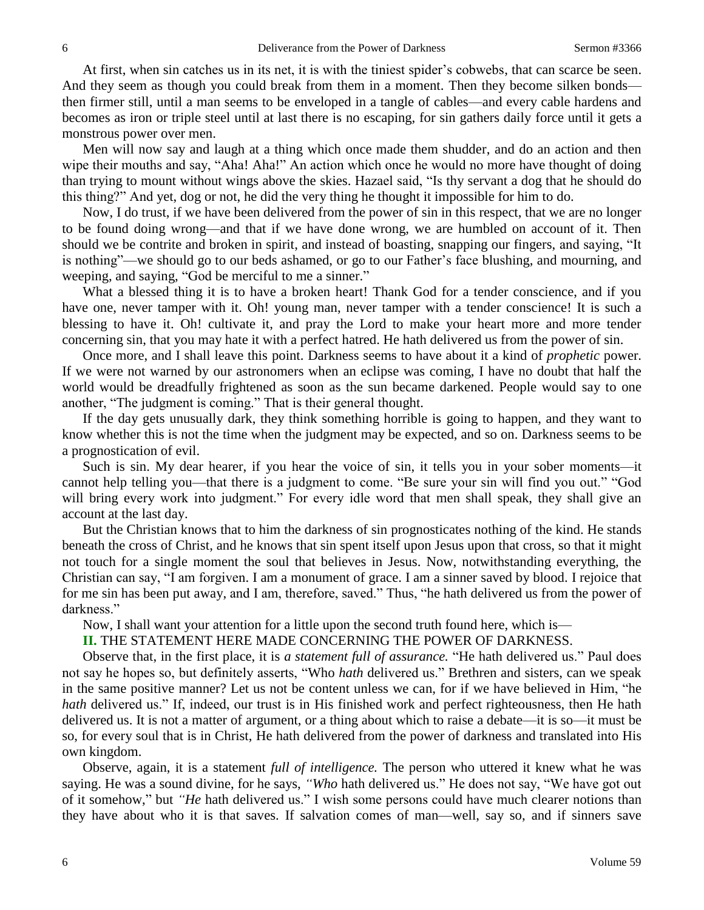At first, when sin catches us in its net, it is with the tiniest spider's cobwebs, that can scarce be seen. And they seem as though you could break from them in a moment. Then they become silken bonds then firmer still, until a man seems to be enveloped in a tangle of cables—and every cable hardens and becomes as iron or triple steel until at last there is no escaping, for sin gathers daily force until it gets a monstrous power over men.

Men will now say and laugh at a thing which once made them shudder, and do an action and then wipe their mouths and say, "Aha! Aha!" An action which once he would no more have thought of doing than trying to mount without wings above the skies. Hazael said, "Is thy servant a dog that he should do this thing?" And yet, dog or not, he did the very thing he thought it impossible for him to do.

Now, I do trust, if we have been delivered from the power of sin in this respect, that we are no longer to be found doing wrong—and that if we have done wrong, we are humbled on account of it. Then should we be contrite and broken in spirit, and instead of boasting, snapping our fingers, and saying, "It is nothing"—we should go to our beds ashamed, or go to our Father's face blushing, and mourning, and weeping, and saying, "God be merciful to me a sinner."

What a blessed thing it is to have a broken heart! Thank God for a tender conscience, and if you have one, never tamper with it. Oh! young man, never tamper with a tender conscience! It is such a blessing to have it. Oh! cultivate it, and pray the Lord to make your heart more and more tender concerning sin, that you may hate it with a perfect hatred. He hath delivered us from the power of sin.

Once more, and I shall leave this point. Darkness seems to have about it a kind of *prophetic* power. If we were not warned by our astronomers when an eclipse was coming, I have no doubt that half the world would be dreadfully frightened as soon as the sun became darkened. People would say to one another, "The judgment is coming." That is their general thought.

If the day gets unusually dark, they think something horrible is going to happen, and they want to know whether this is not the time when the judgment may be expected, and so on. Darkness seems to be a prognostication of evil.

Such is sin. My dear hearer, if you hear the voice of sin, it tells you in your sober moments—it cannot help telling you—that there is a judgment to come. "Be sure your sin will find you out." "God will bring every work into judgment." For every idle word that men shall speak, they shall give an account at the last day.

But the Christian knows that to him the darkness of sin prognosticates nothing of the kind. He stands beneath the cross of Christ, and he knows that sin spent itself upon Jesus upon that cross, so that it might not touch for a single moment the soul that believes in Jesus. Now, notwithstanding everything, the Christian can say, "I am forgiven. I am a monument of grace. I am a sinner saved by blood. I rejoice that for me sin has been put away, and I am, therefore, saved." Thus, "he hath delivered us from the power of darkness."

Now, I shall want your attention for a little upon the second truth found here, which is—

**II.** THE STATEMENT HERE MADE CONCERNING THE POWER OF DARKNESS.

Observe that, in the first place, it is *a statement full of assurance.* "He hath delivered us." Paul does not say he hopes so, but definitely asserts, "Who *hath* delivered us." Brethren and sisters, can we speak in the same positive manner? Let us not be content unless we can, for if we have believed in Him, "he *hath* delivered us." If, indeed, our trust is in His finished work and perfect righteousness, then He hath delivered us. It is not a matter of argument, or a thing about which to raise a debate—it is so—it must be so, for every soul that is in Christ, He hath delivered from the power of darkness and translated into His own kingdom.

Observe, again, it is a statement *full of intelligence.* The person who uttered it knew what he was saying. He was a sound divine, for he says, *"Who* hath delivered us." He does not say, "We have got out of it somehow," but *"He* hath delivered us." I wish some persons could have much clearer notions than they have about who it is that saves. If salvation comes of man—well, say so, and if sinners save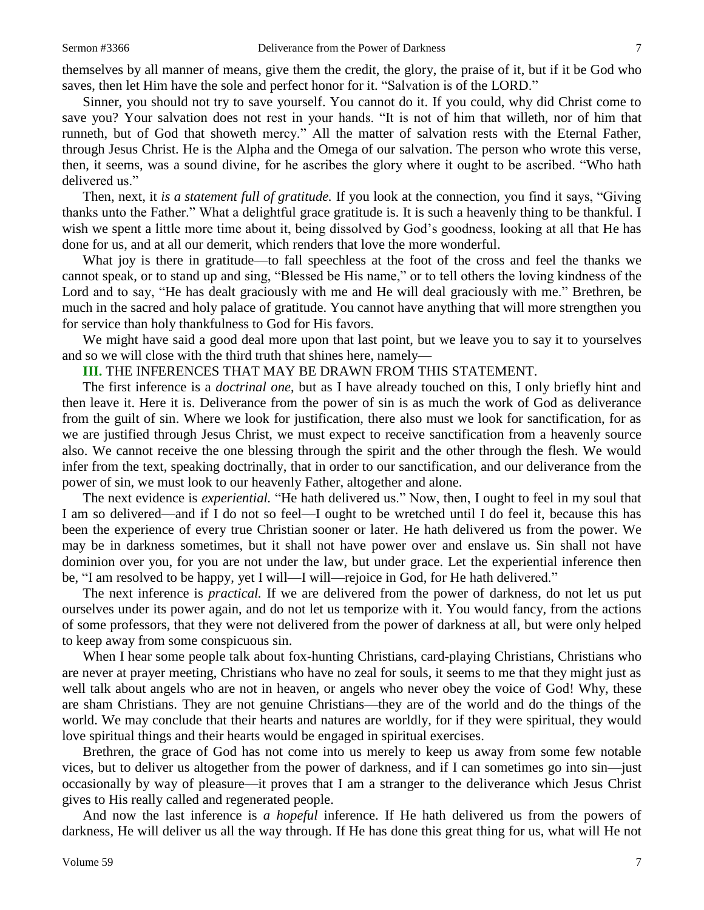themselves by all manner of means, give them the credit, the glory, the praise of it, but if it be God who saves, then let Him have the sole and perfect honor for it. "Salvation is of the LORD."

Sinner, you should not try to save yourself. You cannot do it. If you could, why did Christ come to save you? Your salvation does not rest in your hands. "It is not of him that willeth, nor of him that runneth, but of God that showeth mercy." All the matter of salvation rests with the Eternal Father, through Jesus Christ. He is the Alpha and the Omega of our salvation. The person who wrote this verse, then, it seems, was a sound divine, for he ascribes the glory where it ought to be ascribed. "Who hath delivered us."

Then, next, it *is a statement full of gratitude.* If you look at the connection, you find it says, "Giving thanks unto the Father." What a delightful grace gratitude is. It is such a heavenly thing to be thankful. I wish we spent a little more time about it, being dissolved by God's goodness, looking at all that He has done for us, and at all our demerit, which renders that love the more wonderful.

What joy is there in gratitude—to fall speechless at the foot of the cross and feel the thanks we cannot speak, or to stand up and sing, "Blessed be His name," or to tell others the loving kindness of the Lord and to say, "He has dealt graciously with me and He will deal graciously with me." Brethren, be much in the sacred and holy palace of gratitude. You cannot have anything that will more strengthen you for service than holy thankfulness to God for His favors.

We might have said a good deal more upon that last point, but we leave you to say it to yourselves and so we will close with the third truth that shines here, namely—

**III.** THE INFERENCES THAT MAY BE DRAWN FROM THIS STATEMENT.

The first inference is a *doctrinal one*, but as I have already touched on this, I only briefly hint and then leave it. Here it is. Deliverance from the power of sin is as much the work of God as deliverance from the guilt of sin. Where we look for justification, there also must we look for sanctification, for as we are justified through Jesus Christ, we must expect to receive sanctification from a heavenly source also. We cannot receive the one blessing through the spirit and the other through the flesh. We would infer from the text, speaking doctrinally, that in order to our sanctification, and our deliverance from the power of sin, we must look to our heavenly Father, altogether and alone.

The next evidence is *experiential.* "He hath delivered us." Now, then, I ought to feel in my soul that I am so delivered—and if I do not so feel—I ought to be wretched until I do feel it, because this has been the experience of every true Christian sooner or later. He hath delivered us from the power. We may be in darkness sometimes, but it shall not have power over and enslave us. Sin shall not have dominion over you, for you are not under the law, but under grace. Let the experiential inference then be, "I am resolved to be happy, yet I will—I will—rejoice in God, for He hath delivered."

The next inference is *practical.* If we are delivered from the power of darkness, do not let us put ourselves under its power again, and do not let us temporize with it. You would fancy, from the actions of some professors, that they were not delivered from the power of darkness at all, but were only helped to keep away from some conspicuous sin.

When I hear some people talk about fox-hunting Christians, card-playing Christians, Christians who are never at prayer meeting, Christians who have no zeal for souls, it seems to me that they might just as well talk about angels who are not in heaven, or angels who never obey the voice of God! Why, these are sham Christians. They are not genuine Christians—they are of the world and do the things of the world. We may conclude that their hearts and natures are worldly, for if they were spiritual, they would love spiritual things and their hearts would be engaged in spiritual exercises.

Brethren, the grace of God has not come into us merely to keep us away from some few notable vices, but to deliver us altogether from the power of darkness, and if I can sometimes go into sin—just occasionally by way of pleasure—it proves that I am a stranger to the deliverance which Jesus Christ gives to His really called and regenerated people.

And now the last inference is *a hopeful* inference. If He hath delivered us from the powers of darkness, He will deliver us all the way through. If He has done this great thing for us, what will He not